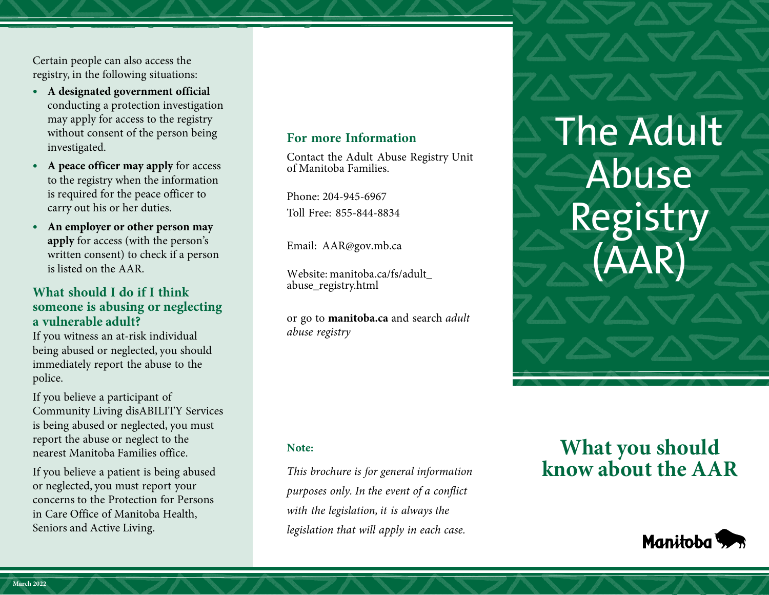Certain people can also access the registry, in the following situations:

- without consent of the person being **• A designated government official** conducting a protection investigation may apply for access to the registry investigated.
- **• A peace officer may apply** for access to the registry when the information is required for the peace officer to carry out his or her duties.
- **• An employer or other person may apply** for access (with the person's written consent) to check if a person is listed on the AAR.

### **What should I do if I think someone is abusing or neglecting a vulnerable adult?**

If you witness an at-risk individual being abused or neglected, you should immediately report the abuse to the police.

ì If you believe a participant of Community Living disABILITY Services is being abused or neglected, you must report the abuse or neglect to the nearest Manitoba Families office.

 or neglected, you must report your If you believe a patient is being abused concerns to the Protection for Persons in Care Office of Manitoba Health, Seniors and Active Living.

### **For more Information**

Contact the Adult Abuse Registry Unit of Manitoba Families.

 Phone: 204-945-6967 Toll Free: 855-844-8834

Email: AAR@gov.mb.ca

[Website: manitoba.ca/fs/adult\\_](http://www.manitoba.ca/fs/adult_abuse_registry.html)  abuse\_registry.html

or go to **[manitoba.ca](http://www.manitoba.ca)** and search *adult abuse registry* 

The Adult Abuse Registry (AAR)

**Note:** 

*This brochure is for general information purposes only. In the event of a conflict with the legislation, it is always the legislation that will apply in each case.* 

# **What you should know about the AAR**